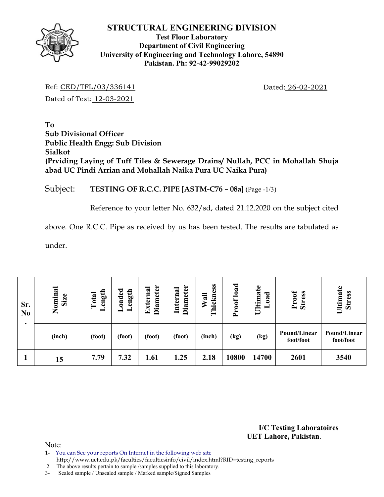

## **Test Floor Laboratory Department of Civil Engineering University of Engineering and Technology Lahore, 54890 Pakistan. Ph: 92-42-99029202**

Ref: CED/TFL/03/336141 Dated: 26-02-2021 Dated of Test: 12-03-2021

**To Sub Divisional Officer Public Health Engg: Sub Division Sialkot (Prviding Laying of Tuff Tiles & Sewerage Drains/ Nullah, PCC in Mohallah Shuja abad UC Pindi Arrian and Mohallah Naika Pura UC Naika Pura)** 

# Subject: **TESTING OF R.C.C. PIPE [ASTM-C76 – 08a]** (Page -1/3)

Reference to your letter No. 632/sd, dated 21.12.2020 on the subject cited

above. One R.C.C. Pipe as received by us has been tested. The results are tabulated as

under.

| Sr.<br>N <sub>0</sub> | Nominal<br>Size | ength<br>Total<br>▬ | $0a$ ded<br>ength<br>Ξ. | iameter<br>Externa<br>۵ | <b>Diameter</b><br>Internal | ickness<br>Wall<br>⊨ | load<br>Proof | $\mathbf{e}$<br>Ultima<br>ರ<br>$\tilde{a}$ | Proof<br><b>Stress</b>    | Ultimate<br><b>Stress</b> |
|-----------------------|-----------------|---------------------|-------------------------|-------------------------|-----------------------------|----------------------|---------------|--------------------------------------------|---------------------------|---------------------------|
|                       | (inch)          | (foot)              | (foot)                  | (foot)                  | (foot)                      | (inch)               | (kg)          | (kg)                                       | Pound/Linear<br>foot/foot | Pound/Linear<br>foot/foot |
|                       | 15              | 7.79                | 7.32                    | 1.61                    | 1.25                        | 2.18                 | 10800         | 14700                                      | 2601                      | 3540                      |

**I/C Testing Laboratoires UET Lahore, Pakistan**.

- 1- You can See your reports On Internet in the following web site
- http://www.uet.edu.pk/faculties/facultiesinfo/civil/index.html?RID=testing\_reports
- 2. The above results pertain to sample /samples supplied to this laboratory.
- 3- Sealed sample / Unsealed sample / Marked sample/Signed Samples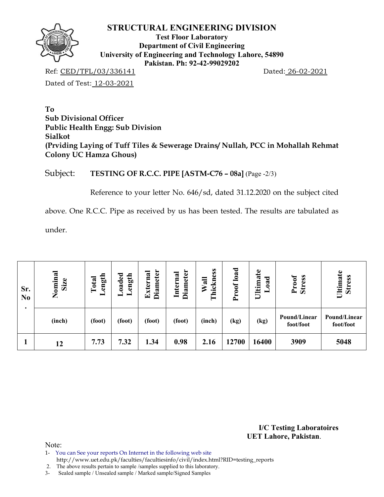

**Test Floor Laboratory Department of Civil Engineering University of Engineering and Technology Lahore, 54890 Pakistan. Ph: 92-42-99029202** 

Ref: CED/TFL/03/336141 Dated: 26-02-2021 Dated of Test: 12-03-2021

**To Sub Divisional Officer Public Health Engg: Sub Division Sialkot (Prviding Laying of Tuff Tiles & Sewerage Drains/ Nullah, PCC in Mohallah Rehmat Colony UC Hamza Ghous)** 

Subject: **TESTING OF R.C.C. PIPE [ASTM-C76 – 08a]** (Page -2/3)

Reference to your letter No. 646/sd, dated 31.12.2020 on the subject cited

above. One R.C.C. Pipe as received by us has been tested. The results are tabulated as

under.

| Sr.<br>N <sub>0</sub> | Nominal<br>Size | ength<br>Total | ${\tt de}$<br>ength<br>$\ddot{\mathbf{a}}$<br>- | <b>Diameter</b><br>Externa | <b>Diameter</b><br>Internal | Thickness<br>Wall | load<br>roof<br>≏ | $\mathbf{e}$<br>ದ<br>ರ<br><b>Ultima</b><br>≂<br>0<br>− | <b>Stress</b><br>Proof    | Ultimate<br><b>Stress</b> |
|-----------------------|-----------------|----------------|-------------------------------------------------|----------------------------|-----------------------------|-------------------|-------------------|--------------------------------------------------------|---------------------------|---------------------------|
|                       | (inch)          | (foot)         | (foot)                                          | (foot)                     | (foot)                      | (inch)            | (kg)              | (kg)                                                   | Pound/Linear<br>foot/foot | Pound/Linear<br>foot/foot |
|                       | 12              | 7.73           | 7.32                                            | 1.34                       | 0.98                        | 2.16              | 12700             | 16400                                                  | 3909                      | 5048                      |

**I/C Testing Laboratoires UET Lahore, Pakistan**.

Note:

1- You can See your reports On Internet in the following web site

http://www.uet.edu.pk/faculties/facultiesinfo/civil/index.html?RID=testing\_reports

2. The above results pertain to sample /samples supplied to this laboratory.

3- Sealed sample / Unsealed sample / Marked sample/Signed Samples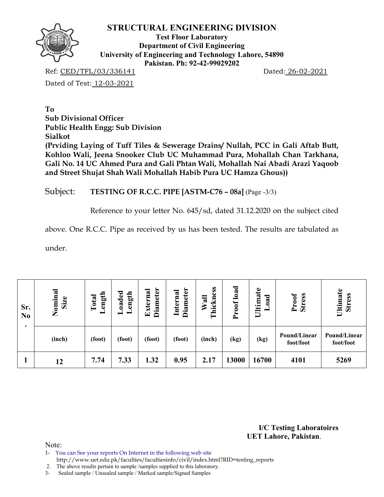

**Test Floor Laboratory Department of Civil Engineering University of Engineering and Technology Lahore, 54890 Pakistan. Ph: 92-42-99029202** 

Ref: CED/TFL/03/336141 Dated: 26-02-2021

Dated of Test: 12-03-2021

**To Sub Divisional Officer Public Health Engg: Sub Division Sialkot (Prviding Laying of Tuff Tiles & Sewerage Drains/ Nullah, PCC in Gali Aftab Butt, Kohloo Wali, Jeena Snooker Club UC Muhammad Pura, Mohallah Chan Tarkhana, Gali No. 14 UC Ahmed Pura and Gali Phtan Wali, Mohallah Nai Abadi Arazi Yaqoob and Street Shujat Shah Wali Mohallah Habib Pura UC Hamza Ghous))** 

## Subject: **TESTING OF R.C.C. PIPE [ASTM-C76 – 08a]** (Page -3/3)

Reference to your letter No. 645/sd, dated 31.12.2020 on the subject cited

above. One R.C.C. Pipe as received by us has been tested. The results are tabulated as

under.

| Sr.<br>N <sub>0</sub> | Nominal<br>Size | ength<br>Total<br>_ | oaded<br>ength | <b>Diameter</b><br>Externa | <b>Diameter</b><br>Internal | Thickness<br>Wall | load<br>Proof | Ultimate<br>ಕ<br>ನ<br>0 | Proof<br><b>Stress</b>    | Ultimate<br><b>Stress</b> |
|-----------------------|-----------------|---------------------|----------------|----------------------------|-----------------------------|-------------------|---------------|-------------------------|---------------------------|---------------------------|
|                       | (inch)          | (foot)              | (foot)         | (foot)                     | (foot)                      | (inch)            | (kg)          | (kg)                    | Pound/Linear<br>foot/foot | Pound/Linear<br>foot/foot |
|                       | 12              | 7.74                | 7.33           | 1.32                       | 0.95                        | 2.17              | 13000         | 16700                   | 4101                      | 5269                      |

**I/C Testing Laboratoires UET Lahore, Pakistan**.

- 1- You can See your reports On Internet in the following web site
- http://www.uet.edu.pk/faculties/facultiesinfo/civil/index.html?RID=testing\_reports
- 2. The above results pertain to sample /samples supplied to this laboratory.
- 3- Sealed sample / Unsealed sample / Marked sample/Signed Samples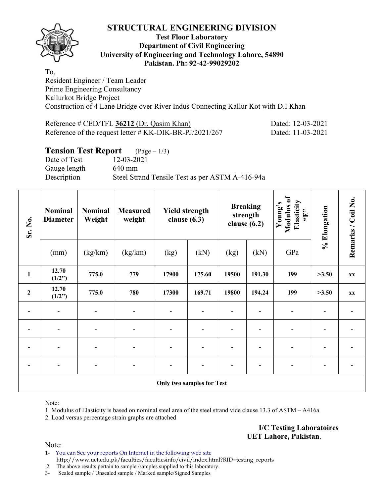

### **Test Floor Laboratory Department of Civil Engineering University of Engineering and Technology Lahore, 54890 Pakistan. Ph: 92-42-99029202**

To, Resident Engineer / Team Leader Prime Engineering Consultancy Kallurkot Bridge Project Construction of 4 Lane Bridge over River Indus Connecting Kallur Kot with D.I Khan

| Reference # CED/TFL 36212 (Dr. Qasim Khan)                 | Dated: 12-03-2021 |
|------------------------------------------------------------|-------------------|
| Reference of the request letter $\#$ KK-DIK-BR-PJ/2021/267 | Dated: 11-03-2021 |

## **Tension Test Report** (Page – 1/3)

Date of Test 12-03-2021 Gauge length 640 mm Description Steel Strand Tensile Test as per ASTM A-416-94a

| Sr. No.                          | <b>Nominal</b><br><b>Diameter</b> | <b>Nominal</b><br>Weight | <b>Measured</b><br>weight | <b>Yield strength</b><br>clause $(6.3)$ |        | clause $(6.2)$ | <b>Breaking</b><br>strength | Modulus of<br>Elasticity<br>Young's<br>$\mathbf{f}$ . | % Elongation | Remarks / Coil No. |  |
|----------------------------------|-----------------------------------|--------------------------|---------------------------|-----------------------------------------|--------|----------------|-----------------------------|-------------------------------------------------------|--------------|--------------------|--|
|                                  | (mm)                              | (kg/km)                  | (kg/km)                   | (kg)                                    | (kN)   | (kg)           |                             | GPa                                                   |              |                    |  |
| $\mathbf{1}$                     | 12.70<br>(1/2")                   | 775.0                    | 779                       | 17900                                   | 175.60 | 19500          | 191.30                      | 199                                                   | >3.50        | XX                 |  |
| $\mathbf{2}$                     | 12.70<br>(1/2")                   | 775.0                    | 780                       | 17300                                   | 169.71 | 19800          | 194.24                      | 199                                                   | >3.50        | XX                 |  |
|                                  |                                   |                          |                           |                                         |        |                |                             |                                                       |              |                    |  |
|                                  | $\overline{\phantom{a}}$          |                          | -                         |                                         |        |                |                             | $\qquad \qquad \blacksquare$                          |              |                    |  |
|                                  |                                   | $\overline{\phantom{0}}$ | -                         | -                                       |        |                |                             | -                                                     |              |                    |  |
| $\overline{\phantom{a}}$         | $\overline{\phantom{a}}$          | $\overline{\phantom{a}}$ | $\blacksquare$            |                                         |        |                | -                           | $\blacksquare$                                        |              |                    |  |
| <b>Only two samples for Test</b> |                                   |                          |                           |                                         |        |                |                             |                                                       |              |                    |  |

Note:

1. Modulus of Elasticity is based on nominal steel area of the steel strand vide clause 13.3 of ASTM – A416a

2. Load versus percentage strain graphs are attached

**I/C Testing Laboratoires UET Lahore, Pakistan**.

Note:

1- You can See your reports On Internet in the following web site http://www.uet.edu.pk/faculties/facultiesinfo/civil/index.html?RID=testing\_reports

2. The above results pertain to sample /samples supplied to this laboratory.

3- Sealed sample / Unsealed sample / Marked sample/Signed Samples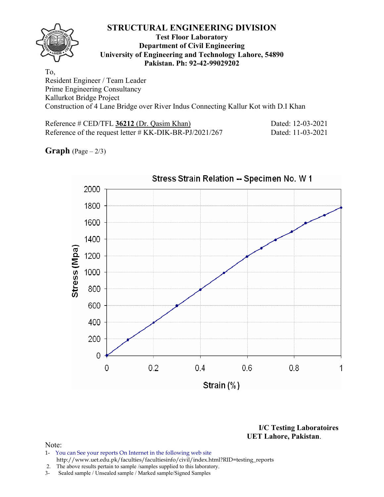### **Test Floor Laboratory Department of Civil Engineering University of Engineering and Technology Lahore, 54890 Pakistan. Ph: 92-42-99029202**

To, Resident Engineer / Team Leader Prime Engineering Consultancy Kallurkot Bridge Project Construction of 4 Lane Bridge over River Indus Connecting Kallur Kot with D.I Khan

Reference # CED/TFL 36212 (Dr. Qasim Khan) Dated: 12-03-2021 Reference of the request letter # KK-DIK-BR-PJ/2021/267 Dated: 11-03-2021

**Graph**  $(Page - 2/3)$ 



**I/C Testing Laboratoires UET Lahore, Pakistan**.

- 1- You can See your reports On Internet in the following web site http://www.uet.edu.pk/faculties/facultiesinfo/civil/index.html?RID=testing\_reports
- 2. The above results pertain to sample /samples supplied to this laboratory.
- 3- Sealed sample / Unsealed sample / Marked sample/Signed Samples